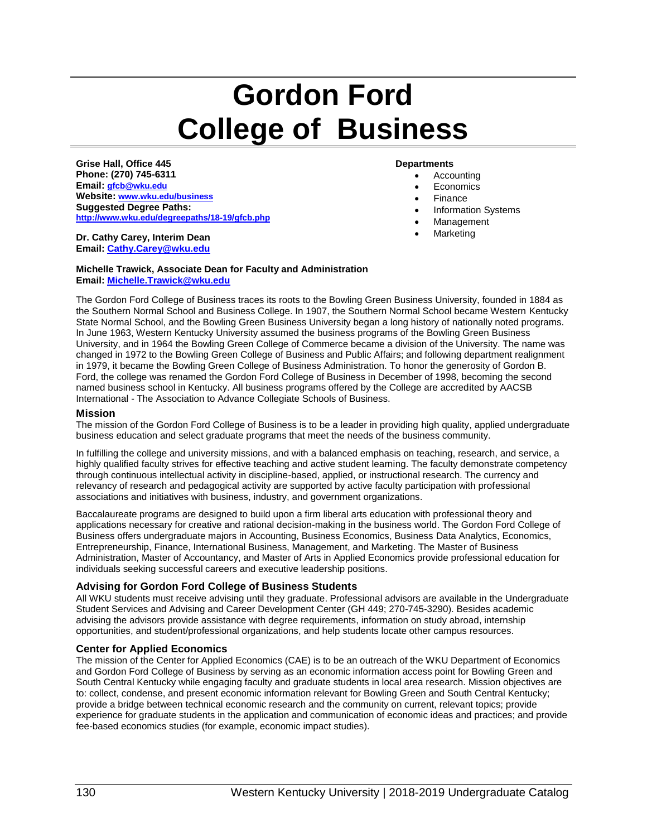# **Gordon Ford College of Business**

**Grise Hall, Office 445 Phone: (270) 745-6311 Email: [gfcb@wku.edu](mailto:gfcb@wku.edu) Website: [www.wku.edu/business](http://www.wku.edu/business) Suggested Degree Paths: <http://www.wku.edu/degreepaths/18-19/gfcb.php>**

**Dr. Cathy Carey, Interim Dean Email[: Cathy.Carey@wku.edu](mailto:Jeffrey.Katz@wku.edu)**

#### **Departments**

- Accounting
- Economics
- Finance
- Information Systems
- **Management**
- Marketing

**Michelle Trawick, Associate Dean for Faculty and Administration Email[: Michelle.Trawick@wku.edu](mailto:Michelle.Trawick@wku.edu)**

The Gordon Ford College of Business traces its roots to the Bowling Green Business University, founded in 1884 as the Southern Normal School and Business College. In 1907, the Southern Normal School became Western Kentucky State Normal School, and the Bowling Green Business University began a long history of nationally noted programs. In June 1963, Western Kentucky University assumed the business programs of the Bowling Green Business University, and in 1964 the Bowling Green College of Commerce became a division of the University. The name was changed in 1972 to the Bowling Green College of Business and Public Affairs; and following department realignment in 1979, it became the Bowling Green College of Business Administration. To honor the generosity of Gordon B. Ford, the college was renamed the Gordon Ford College of Business in December of 1998, becoming the second named business school in Kentucky. All business programs offered by the College are accredited by AACSB International - The Association to Advance Collegiate Schools of Business.

#### **Mission**

The mission of the Gordon Ford College of Business is to be a leader in providing high quality, applied undergraduate business education and select graduate programs that meet the needs of the business community.

In fulfilling the college and university missions, and with a balanced emphasis on teaching, research, and service, a highly qualified faculty strives for effective teaching and active student learning. The faculty demonstrate competency through continuous intellectual activity in discipline-based, applied, or instructional research. The currency and relevancy of research and pedagogical activity are supported by active faculty participation with professional associations and initiatives with business, industry, and government organizations.

Baccalaureate programs are designed to build upon a firm liberal arts education with professional theory and applications necessary for creative and rational decision-making in the business world. The Gordon Ford College of Business offers undergraduate majors in Accounting, Business Economics, Business Data Analytics, Economics, Entrepreneurship, Finance, International Business, Management, and Marketing. The Master of Business Administration, Master of Accountancy, and Master of Arts in Applied Economics provide professional education for individuals seeking successful careers and executive leadership positions.

#### **Advising for Gordon Ford College of Business Students**

All WKU students must receive advising until they graduate. Professional advisors are available in the Undergraduate Student Services and Advising and Career Development Center (GH 449; 270-745-3290). Besides academic advising the advisors provide assistance with degree requirements, information on study abroad, internship opportunities, and student/professional organizations, and help students locate other campus resources.

#### **Center for Applied Economics**

The mission of the Center for Applied Economics (CAE) is to be an outreach of the WKU Department of Economics and Gordon Ford College of Business by serving as an economic information access point for Bowling Green and South Central Kentucky while engaging faculty and graduate students in local area research. Mission objectives are to: collect, condense, and present economic information relevant for Bowling Green and South Central Kentucky; provide a bridge between technical economic research and the community on current, relevant topics; provide experience for graduate students in the application and communication of economic ideas and practices; and provide fee-based economics studies (for example, economic impact studies).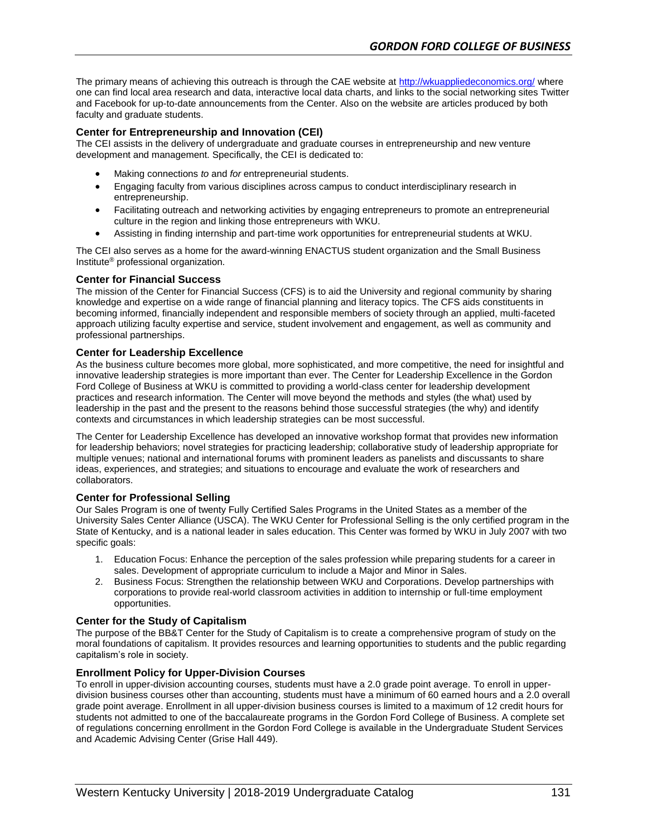The primary means of achieving this outreach is through the CAE website a[t http://wkuappliedeconomics.org/](http://wkuappliedeconomics.org/) where one can find local area research and data, interactive local data charts, and links to the social networking sites Twitter and Facebook for up-to-date announcements from the Center. Also on the website are articles produced by both faculty and graduate students.

### **Center for Entrepreneurship and Innovation (CEI)**

The CEI assists in the delivery of undergraduate and graduate courses in entrepreneurship and new venture development and management. Specifically, the CEI is dedicated to:

- Making connections *to* and *for* entrepreneurial students.
- Engaging faculty from various disciplines across campus to conduct interdisciplinary research in entrepreneurship.
- Facilitating outreach and networking activities by engaging entrepreneurs to promote an entrepreneurial culture in the region and linking those entrepreneurs with WKU.
- Assisting in finding internship and part-time work opportunities for entrepreneurial students at WKU.

The CEI also serves as a home for the award-winning ENACTUS student organization and the Small Business Institute® professional organization.

#### **Center for Financial Success**

The mission of the Center for Financial Success (CFS) is to aid the University and regional community by sharing knowledge and expertise on a wide range of financial planning and literacy topics. The CFS aids constituents in becoming informed, financially independent and responsible members of society through an applied, multi-faceted approach utilizing faculty expertise and service, student involvement and engagement, as well as community and professional partnerships.

#### **Center for Leadership Excellence**

As the business culture becomes more global, more sophisticated, and more competitive, the need for insightful and innovative leadership strategies is more important than ever. The Center for Leadership Excellence in the Gordon Ford College of Business at WKU is committed to providing a world-class center for leadership development practices and research information. The Center will move beyond the methods and styles (the what) used by leadership in the past and the present to the reasons behind those successful strategies (the why) and identify contexts and circumstances in which leadership strategies can be most successful.

The Center for Leadership Excellence has developed an innovative workshop format that provides new information for leadership behaviors; novel strategies for practicing leadership; collaborative study of leadership appropriate for multiple venues; national and international forums with prominent leaders as panelists and discussants to share ideas, experiences, and strategies; and situations to encourage and evaluate the work of researchers and collaborators.

#### **Center for Professional Selling**

Our Sales Program is one of twenty Fully Certified Sales Programs in the United States as a member of the University Sales Center Alliance (USCA). The WKU Center for Professional Selling is the only certified program in the State of Kentucky, and is a national leader in sales education. This Center was formed by WKU in July 2007 with two specific goals:

- 1. Education Focus: Enhance the perception of the sales profession while preparing students for a career in sales. Development of appropriate curriculum to include a Major and Minor in Sales.
- 2. Business Focus: Strengthen the relationship between WKU and Corporations. Develop partnerships with corporations to provide real-world classroom activities in addition to internship or full-time employment opportunities.

#### **Center for the Study of Capitalism**

The purpose of the BB&T Center for the Study of Capitalism is to create a comprehensive program of study on the moral foundations of capitalism. It provides resources and learning opportunities to students and the public regarding capitalism's role in society.

#### **Enrollment Policy for Upper-Division Courses**

To enroll in upper-division accounting courses, students must have a 2.0 grade point average. To enroll in upperdivision business courses other than accounting, students must have a minimum of 60 earned hours and a 2.0 overall grade point average. Enrollment in all upper-division business courses is limited to a maximum of 12 credit hours for students not admitted to one of the baccalaureate programs in the Gordon Ford College of Business. A complete set of regulations concerning enrollment in the Gordon Ford College is available in the Undergraduate Student Services and Academic Advising Center (Grise Hall 449).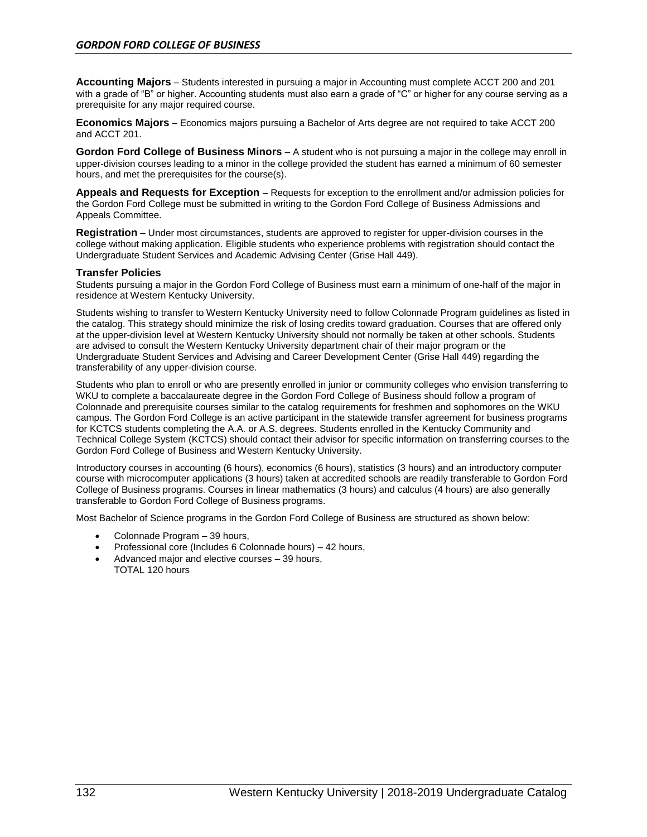**Accounting Majors** – Students interested in pursuing a major in Accounting must complete ACCT 200 and 201 with a grade of "B" or higher. Accounting students must also earn a grade of "C" or higher for any course serving as a prerequisite for any major required course.

**Economics Majors** – Economics majors pursuing a Bachelor of Arts degree are not required to take ACCT 200 and ACCT 201.

**Gordon Ford College of Business Minors** – A student who is not pursuing a major in the college may enroll in upper-division courses leading to a minor in the college provided the student has earned a minimum of 60 semester hours, and met the prerequisites for the course(s).

**Appeals and Requests for Exception** – Requests for exception to the enrollment and/or admission policies for the Gordon Ford College must be submitted in writing to the Gordon Ford College of Business Admissions and Appeals Committee.

**Registration** – Under most circumstances, students are approved to register for upper-division courses in the college without making application. Eligible students who experience problems with registration should contact the Undergraduate Student Services and Academic Advising Center (Grise Hall 449).

#### **Transfer Policies**

Students pursuing a major in the Gordon Ford College of Business must earn a minimum of one-half of the major in residence at Western Kentucky University.

Students wishing to transfer to Western Kentucky University need to follow Colonnade Program guidelines as listed in the catalog. This strategy should minimize the risk of losing credits toward graduation. Courses that are offered only at the upper-division level at Western Kentucky University should not normally be taken at other schools. Students are advised to consult the Western Kentucky University department chair of their major program or the Undergraduate Student Services and Advising and Career Development Center (Grise Hall 449) regarding the transferability of any upper-division course.

Students who plan to enroll or who are presently enrolled in junior or community colleges who envision transferring to WKU to complete a baccalaureate degree in the Gordon Ford College of Business should follow a program of Colonnade and prerequisite courses similar to the catalog requirements for freshmen and sophomores on the WKU campus. The Gordon Ford College is an active participant in the statewide transfer agreement for business programs for KCTCS students completing the A.A. or A.S. degrees. Students enrolled in the Kentucky Community and Technical College System (KCTCS) should contact their advisor for specific information on transferring courses to the Gordon Ford College of Business and Western Kentucky University.

Introductory courses in accounting (6 hours), economics (6 hours), statistics (3 hours) and an introductory computer course with microcomputer applications (3 hours) taken at accredited schools are readily transferable to Gordon Ford College of Business programs. Courses in linear mathematics (3 hours) and calculus (4 hours) are also generally transferable to Gordon Ford College of Business programs.

Most Bachelor of Science programs in the Gordon Ford College of Business are structured as shown below:

- Colonnade Program 39 hours,
- Professional core (Includes 6 Colonnade hours) 42 hours,
- Advanced major and elective courses 39 hours, TOTAL 120 hours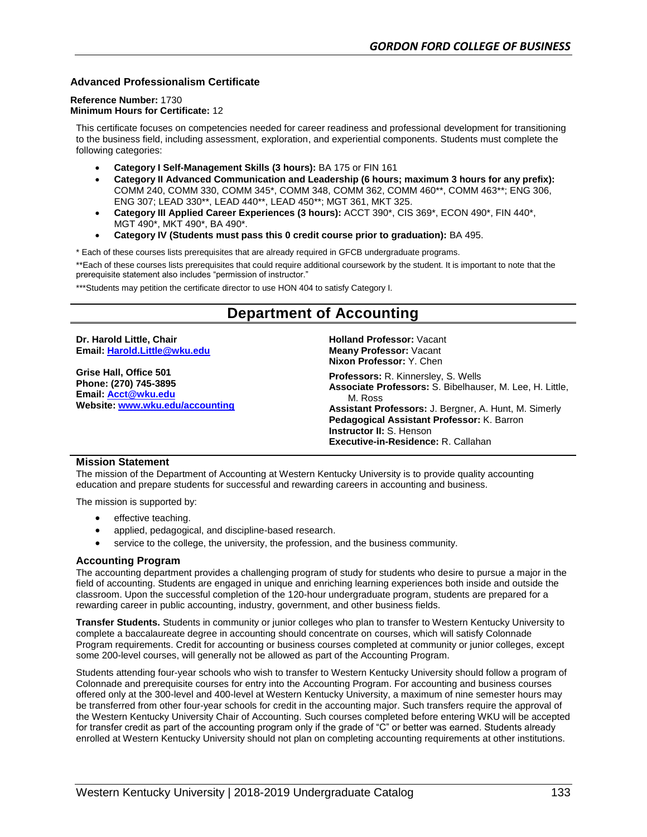### **Advanced Professionalism Certificate**

#### **Reference Number:** 1730 **Minimum Hours for Certificate:** 12

This certificate focuses on competencies needed for career readiness and professional development for transitioning to the business field, including assessment, exploration, and experiential components. Students must complete the following categories:

- **Category I Self-Management Skills (3 hours):** BA 175 or FIN 161
- **Category II Advanced Communication and Leadership (6 hours; maximum 3 hours for any prefix):**  COMM 240, COMM 330, COMM 345\*, COMM 348, COMM 362, COMM 460\*\*, COMM 463\*\*; ENG 306, ENG 307; LEAD 330\*\*, LEAD 440\*\*, LEAD 450\*\*; MGT 361, MKT 325.
- **Category III Applied Career Experiences (3 hours):** ACCT 390\*, CIS 369\*, ECON 490\*, FIN 440\*, MGT 490\*, MKT 490\*, BA 490\*.
- **Category IV (Students must pass this 0 credit course prior to graduation):** BA 495.

\* Each of these courses lists prerequisites that are already required in GFCB undergraduate programs.

\*\*Each of these courses lists prerequisites that could require additional coursework by the student. It is important to note that the prerequisite statement also includes "permission of instructor."

\*\*\*Students may petition the certificate director to use HON 404 to satisfy Category I.

# **Department of Accounting**

**Dr. Harold Little, Chair Email: [Harold.Little@wku.edu](mailto:Harold.Little@wku.edu) Grise Hall, Office 501 Phone: (270) 745-3895 Email: [Acct@wku.edu](mailto:Acct@wku.edu) Website: [www.wku.edu/accounting](http://www.wku.edu/accounting) Holland Professor:** Vacant **Meany Professor:** Vacant **Nixon Professor:** Y. Chen **Professors:** R. Kinnersley, S. Wells **Associate Professors:** S. Bibelhauser, M. Lee, H. Little, M. Ross **Assistant Professors:** J. Bergner, A. Hunt, M. Simerly **Pedagogical Assistant Professor:** K. Barron **Instructor II:** S. Henson

#### **Mission Statement**

The mission of the Department of Accounting at Western Kentucky University is to provide quality accounting education and prepare students for successful and rewarding careers in accounting and business.

**Executive-in-Residence:** R. Callahan

The mission is supported by:

- effective teaching.
- applied, pedagogical, and discipline-based research.
- service to the college, the university, the profession, and the business community.

#### **Accounting Program**

The accounting department provides a challenging program of study for students who desire to pursue a major in the field of accounting. Students are engaged in unique and enriching learning experiences both inside and outside the classroom. Upon the successful completion of the 120-hour undergraduate program, students are prepared for a rewarding career in public accounting, industry, government, and other business fields.

**Transfer Students.** Students in community or junior colleges who plan to transfer to Western Kentucky University to complete a baccalaureate degree in accounting should concentrate on courses, which will satisfy Colonnade Program requirements. Credit for accounting or business courses completed at community or junior colleges, except some 200-level courses, will generally not be allowed as part of the Accounting Program.

Students attending four-year schools who wish to transfer to Western Kentucky University should follow a program of Colonnade and prerequisite courses for entry into the Accounting Program. For accounting and business courses offered only at the 300-level and 400-level at Western Kentucky University, a maximum of nine semester hours may be transferred from other four-year schools for credit in the accounting major. Such transfers require the approval of the Western Kentucky University Chair of Accounting. Such courses completed before entering WKU will be accepted for transfer credit as part of the accounting program only if the grade of "C" or better was earned. Students already enrolled at Western Kentucky University should not plan on completing accounting requirements at other institutions.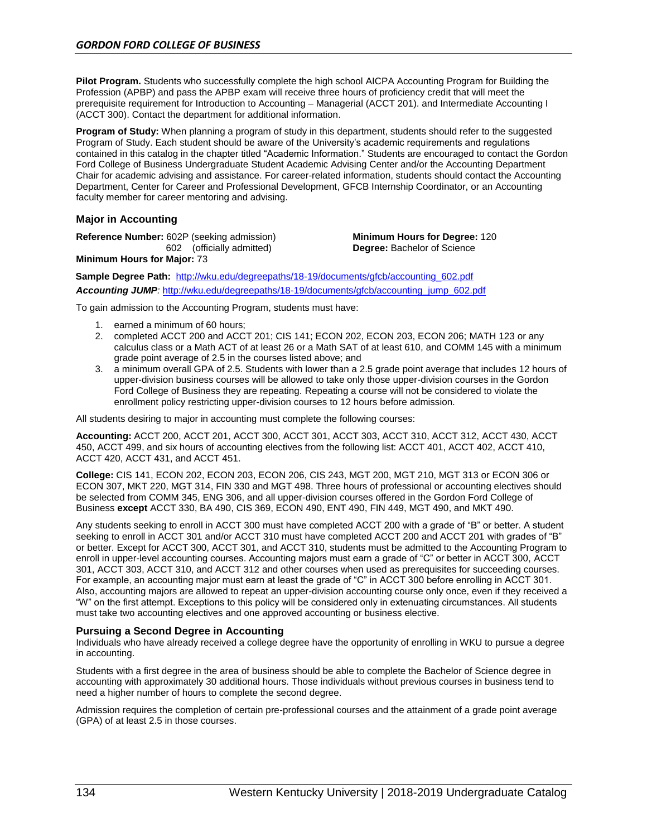**Pilot Program.** Students who successfully complete the high school AICPA Accounting Program for Building the Profession (APBP) and pass the APBP exam will receive three hours of proficiency credit that will meet the prerequisite requirement for Introduction to Accounting – Managerial (ACCT 201). and Intermediate Accounting I (ACCT 300). Contact the department for additional information.

**Program of Study:** When planning a program of study in this department, students should refer to the suggested Program of Study. Each student should be aware of the University's academic requirements and regulations contained in this catalog in the chapter titled "Academic Information." Students are encouraged to contact the Gordon Ford College of Business Undergraduate Student Academic Advising Center and/or the Accounting Department Chair for academic advising and assistance. For career-related information, students should contact the Accounting Department, Center for Career and Professional Development, GFCB Internship Coordinator, or an Accounting faculty member for career mentoring and advising.

### **Major in Accounting**

**Reference Number:** 602P (seeking admission) 602 (officially admitted)

**Minimum Hours for Degree:** 120 **Degree:** Bachelor of Science

**Minimum Hours for Major:** 73

**Sample Degree Path:** [http://wku.edu/degreepaths/18-19/documents/gfcb/accounting\\_602.pdf](http://wku.edu/degreepaths/18-19/documents/gfcb/accounting_602.pdf) *Accounting JUMP:* [http://wku.edu/degreepaths/18-19/documents/gfcb/accounting\\_jump\\_602.pdf](http://wku.edu/degreepaths/18-19/documents/gfcb/accounting_jump_602.pdf)

To gain admission to the Accounting Program, students must have:

- 1. earned a minimum of 60 hours;
- 2. completed ACCT 200 and ACCT 201; CIS 141; ECON 202, ECON 203, ECON 206; MATH 123 or any calculus class or a Math ACT of at least 26 or a Math SAT of at least 610, and COMM 145 with a minimum grade point average of 2.5 in the courses listed above; and
- 3. a minimum overall GPA of 2.5. Students with lower than a 2.5 grade point average that includes 12 hours of upper-division business courses will be allowed to take only those upper-division courses in the Gordon Ford College of Business they are repeating. Repeating a course will not be considered to violate the enrollment policy restricting upper-division courses to 12 hours before admission.

All students desiring to major in accounting must complete the following courses:

**Accounting:** ACCT 200, ACCT 201, ACCT 300, ACCT 301, ACCT 303, ACCT 310, ACCT 312, ACCT 430, ACCT 450, ACCT 499, and six hours of accounting electives from the following list: ACCT 401, ACCT 402, ACCT 410, ACCT 420, ACCT 431, and ACCT 451.

**College:** CIS 141, ECON 202, ECON 203, ECON 206, CIS 243, MGT 200, MGT 210, MGT 313 or ECON 306 or ECON 307, MKT 220, MGT 314, FIN 330 and MGT 498. Three hours of professional or accounting electives should be selected from COMM 345, ENG 306, and all upper-division courses offered in the Gordon Ford College of Business **except** ACCT 330, BA 490, CIS 369, ECON 490, ENT 490, FIN 449, MGT 490, and MKT 490.

Any students seeking to enroll in ACCT 300 must have completed ACCT 200 with a grade of "B" or better. A student seeking to enroll in ACCT 301 and/or ACCT 310 must have completed ACCT 200 and ACCT 201 with grades of "B" or better. Except for ACCT 300, ACCT 301, and ACCT 310, students must be admitted to the Accounting Program to enroll in upper-level accounting courses. Accounting majors must earn a grade of "C" or better in ACCT 300, ACCT 301, ACCT 303, ACCT 310, and ACCT 312 and other courses when used as prerequisites for succeeding courses. For example, an accounting major must earn at least the grade of "C" in ACCT 300 before enrolling in ACCT 301. Also, accounting majors are allowed to repeat an upper-division accounting course only once, even if they received a "W" on the first attempt. Exceptions to this policy will be considered only in extenuating circumstances. All students must take two accounting electives and one approved accounting or business elective.

#### **Pursuing a Second Degree in Accounting**

Individuals who have already received a college degree have the opportunity of enrolling in WKU to pursue a degree in accounting.

Students with a first degree in the area of business should be able to complete the Bachelor of Science degree in accounting with approximately 30 additional hours. Those individuals without previous courses in business tend to need a higher number of hours to complete the second degree.

Admission requires the completion of certain pre-professional courses and the attainment of a grade point average (GPA) of at least 2.5 in those courses.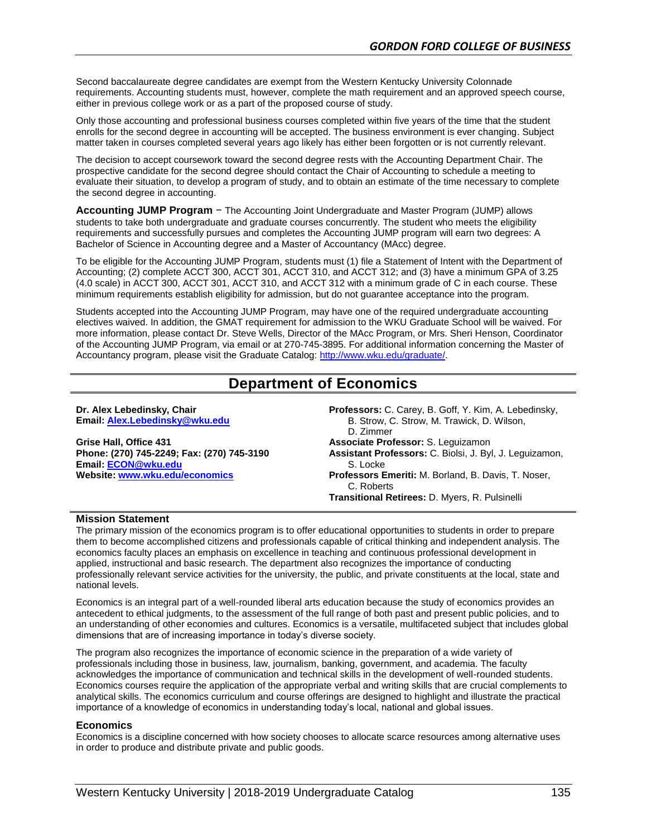Second baccalaureate degree candidates are exempt from the Western Kentucky University Colonnade requirements. Accounting students must, however, complete the math requirement and an approved speech course, either in previous college work or as a part of the proposed course of study.

Only those accounting and professional business courses completed within five years of the time that the student enrolls for the second degree in accounting will be accepted. The business environment is ever changing. Subject matter taken in courses completed several years ago likely has either been forgotten or is not currently relevant.

The decision to accept coursework toward the second degree rests with the Accounting Department Chair. The prospective candidate for the second degree should contact the Chair of Accounting to schedule a meeting to evaluate their situation, to develop a program of study, and to obtain an estimate of the time necessary to complete the second degree in accounting.

**Accounting JUMP Program** − The Accounting Joint Undergraduate and Master Program (JUMP) allows students to take both undergraduate and graduate courses concurrently. The student who meets the eligibility requirements and successfully pursues and completes the Accounting JUMP program will earn two degrees: A Bachelor of Science in Accounting degree and a Master of Accountancy (MAcc) degree.

To be eligible for the Accounting JUMP Program, students must (1) file a Statement of Intent with the Department of Accounting; (2) complete ACCT 300, ACCT 301, ACCT 310, and ACCT 312; and (3) have a minimum GPA of 3.25 (4.0 scale) in ACCT 300, ACCT 301, ACCT 310, and ACCT 312 with a minimum grade of C in each course. These minimum requirements establish eligibility for admission, but do not guarantee acceptance into the program.

Students accepted into the Accounting JUMP Program, may have one of the required undergraduate accounting electives waived. In addition, the GMAT requirement for admission to the WKU Graduate School will be waived. For more information, please contact [Dr. Steve Wells,](mailto:steve.wells@wku.edu) Director of the MAcc Program, or Mrs. Sheri Henson, Coordinator of the Accounting JUMP Program, via email or at 270-745-3895. For additional information concerning the Master of Accountancy program, please visit the Graduate Catalog[: http://www.wku.edu/graduate/.](http://www.wku.edu/graduate/)

# **Department of Economics**

**Dr. Alex Lebedinsky, Chair Email[: Alex.Lebedinsky@wku.edu](mailto:alex.lebedinsky@wku.edu)**

**Grise Hall, Office 431 Phone: (270) 745-2249; Fax: (270) 745-3190 Email: [ECON@wku.edu](mailto:ECON@wku.edu) Website: [www.wku.edu/economics](http://www.wku.edu/economics)**

**Professors:** C. Carey, B. Goff, Y. Kim, A. Lebedinsky, B. Strow, C. Strow, M. Trawick, D. Wilson, D. Zimmer **Associate Professor:** S. Leguizamon **Assistant Professors:** C. Biolsi, J. Byl, J. Leguizamon, S. Locke **Professors Emeriti:** M. Borland, B. Davis, T. Noser, C. Roberts

**Transitional Retirees:** D. Myers, R. Pulsinelli

#### **Mission Statement**

The primary mission of the economics program is to offer educational opportunities to students in order to prepare them to become accomplished citizens and professionals capable of critical thinking and independent analysis. The economics faculty places an emphasis on excellence in teaching and continuous professional development in applied, instructional and basic research. The department also recognizes the importance of conducting professionally relevant service activities for the university, the public, and private constituents at the local, state and national levels.

Economics is an integral part of a well-rounded liberal arts education because the study of economics provides an antecedent to ethical judgments, to the assessment of the full range of both past and present public policies, and to an understanding of other economies and cultures. Economics is a versatile, multifaceted subject that includes global dimensions that are of increasing importance in today's diverse society.

The program also recognizes the importance of economic science in the preparation of a wide variety of professionals including those in business, law, journalism, banking, government, and academia. The faculty acknowledges the importance of communication and technical skills in the development of well-rounded students. Economics courses require the application of the appropriate verbal and writing skills that are crucial complements to analytical skills. The economics curriculum and course offerings are designed to highlight and illustrate the practical importance of a knowledge of economics in understanding today's local, national and global issues.

#### **Economics**

Economics is a discipline concerned with how society chooses to allocate scarce resources among alternative uses in order to produce and distribute private and public goods.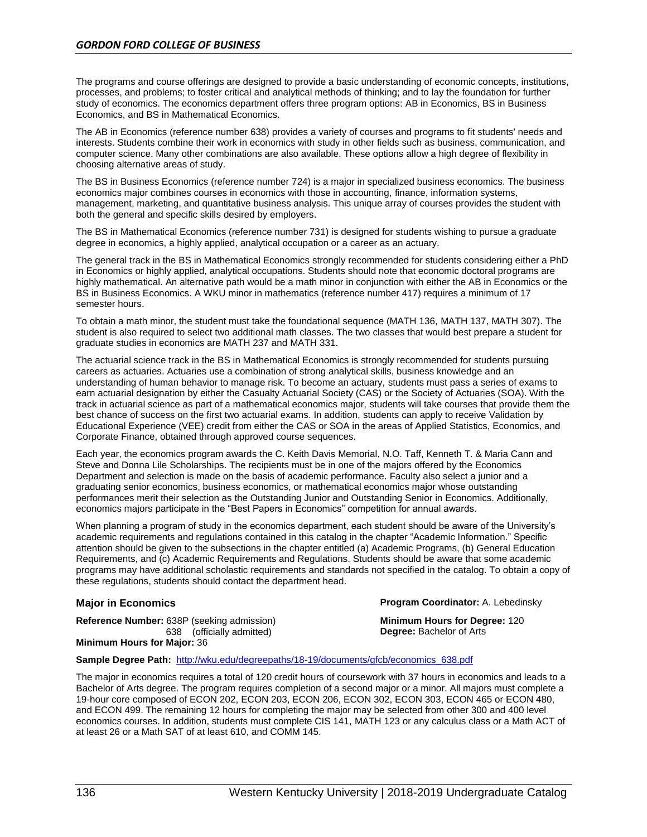The programs and course offerings are designed to provide a basic understanding of economic concepts, institutions, processes, and problems; to foster critical and analytical methods of thinking; and to lay the foundation for further study of economics. The economics department offers three program options: AB in Economics, BS in Business Economics, and BS in Mathematical Economics.

The AB in Economics (reference number 638) provides a variety of courses and programs to fit students' needs and interests. Students combine their work in economics with study in other fields such as business, communication, and computer science. Many other combinations are also available. These options allow a high degree of flexibility in choosing alternative areas of study.

The BS in Business Economics (reference number 724) is a major in specialized business economics. The business economics major combines courses in economics with those in accounting, finance, information systems, management, marketing, and quantitative business analysis. This unique array of courses provides the student with both the general and specific skills desired by employers.

The BS in Mathematical Economics (reference number 731) is designed for students wishing to pursue a graduate degree in economics, a highly applied, analytical occupation or a career as an actuary.

The general track in the BS in Mathematical Economics strongly recommended for students considering either a PhD in Economics or highly applied, analytical occupations. Students should note that economic doctoral programs are highly mathematical. An alternative path would be a math minor in conjunction with either the AB in Economics or the BS in Business Economics. A WKU minor in mathematics (reference number 417) requires a minimum of 17 semester hours.

To obtain a math minor, the student must take the foundational sequence (MATH 136, MATH 137, MATH 307). The student is also required to select two additional math classes. The two classes that would best prepare a student for graduate studies in economics are MATH 237 and MATH 331.

The actuarial science track in the BS in Mathematical Economics is strongly recommended for students pursuing careers as actuaries. Actuaries use a combination of strong analytical skills, business knowledge and an understanding of human behavior to manage risk. To become an actuary, students must pass a series of exams to earn actuarial designation by either the Casualty Actuarial Society (CAS) or the Society of Actuaries (SOA). With the track in actuarial science as part of a mathematical economics major, students will take courses that provide them the best chance of success on the first two actuarial exams. In addition, students can apply to receive Validation by Educational Experience (VEE) credit from either the CAS or SOA in the areas of Applied Statistics, Economics, and Corporate Finance, obtained through approved course sequences.

Each year, the economics program awards the C. Keith Davis Memorial, N.O. Taff, Kenneth T. & Maria Cann and Steve and Donna Lile Scholarships. The recipients must be in one of the majors offered by the Economics Department and selection is made on the basis of academic performance. Faculty also select a junior and a graduating senior economics, business economics, or mathematical economics major whose outstanding performances merit their selection as the Outstanding Junior and Outstanding Senior in Economics. Additionally, economics majors participate in the "Best Papers in Economics" competition for annual awards.

When planning a program of study in the economics department, each student should be aware of the University's academic requirements and regulations contained in this catalog in the chapter "Academic Information." Specific attention should be given to the subsections in the chapter entitled (a) Academic Programs, (b) General Education Requirements, and (c) Academic Requirements and Regulations. Students should be aware that some academic programs may have additional scholastic requirements and standards not specified in the catalog. To obtain a copy of these regulations, students should contact the department head.

**Reference Number:** 638P (seeking admission) 638 (officially admitted) **Minimum Hours for Major:** 36

**Major in Economics Program Coordinator:** A. Lebedinsky

**Minimum Hours for Degree:** 120 **Degree:** Bachelor of Arts

#### **Sample Degree Path:** [http://wku.edu/degreepaths/18-19/documents/gfcb/economics\\_638.pdf](http://wku.edu/degreepaths/18-19/documents/gfcb/economics_638.pdf)

The major in economics requires a total of 120 credit hours of coursework with 37 hours in economics and leads to a Bachelor of Arts degree. The program requires completion of a second major or a minor. All majors must complete a 19-hour core composed of ECON 202, ECON 203, ECON 206, ECON 302, ECON 303, ECON 465 or ECON 480, and ECON 499. The remaining 12 hours for completing the major may be selected from other 300 and 400 level economics courses. In addition, students must complete CIS 141, MATH 123 or any calculus class or a Math ACT of at least 26 or a Math SAT of at least 610, and COMM 145.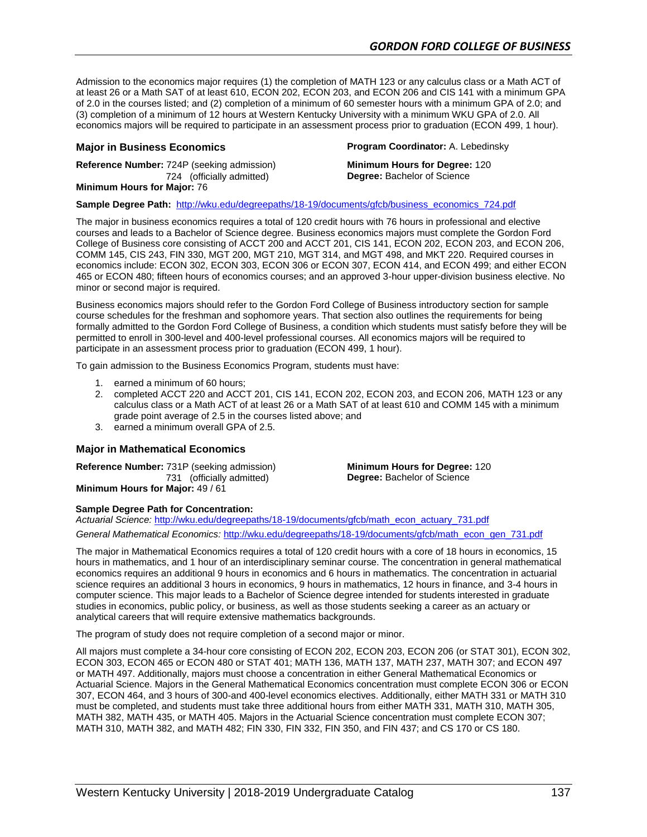Admission to the economics major requires (1) the completion of MATH 123 or any calculus class or a Math ACT of at least 26 or a Math SAT of at least 610, ECON 202, ECON 203, and ECON 206 and CIS 141 with a minimum GPA of 2.0 in the courses listed; and (2) completion of a minimum of 60 semester hours with a minimum GPA of 2.0; and (3) completion of a minimum of 12 hours at Western Kentucky University with a minimum WKU GPA of 2.0. All economics majors will be required to participate in an assessment process prior to graduation (ECON 499, 1 hour).

**Reference Number:** 724P (seeking admission) 724 (officially admitted) **Minimum Hours for Major:** 76

**Major in Business Economics Program Coordinator:** A. Lebedinsky

**Minimum Hours for Degree:** 120 **Degree:** Bachelor of Science

**Sample Degree Path:** [http://wku.edu/degreepaths/18-19/documents/gfcb/business\\_economics\\_724.pdf](http://wku.edu/degreepaths/18-19/documents/gfcb/business_economics_724.pdf)

The major in business economics requires a total of 120 credit hours with 76 hours in professional and elective courses and leads to a Bachelor of Science degree. Business economics majors must complete the Gordon Ford College of Business core consisting of ACCT 200 and ACCT 201, CIS 141, ECON 202, ECON 203, and ECON 206, COMM 145, CIS 243, FIN 330, MGT 200, MGT 210, MGT 314, and MGT 498, and MKT 220. Required courses in economics include: ECON 302, ECON 303, ECON 306 or ECON 307, ECON 414, and ECON 499; and either ECON 465 or ECON 480; fifteen hours of economics courses; and an approved 3-hour upper-division business elective. No minor or second major is required.

Business economics majors should refer to the Gordon Ford College of Business introductory section for sample course schedules for the freshman and sophomore years. That section also outlines the requirements for being formally admitted to the Gordon Ford College of Business, a condition which students must satisfy before they will be permitted to enroll in 300-level and 400-level professional courses. All economics majors will be required to participate in an assessment process prior to graduation (ECON 499, 1 hour).

To gain admission to the Business Economics Program, students must have:

- 1. earned a minimum of 60 hours;
- 2. completed ACCT 220 and ACCT 201, CIS 141, ECON 202, ECON 203, and ECON 206, MATH 123 or any calculus class or a Math ACT of at least 26 or a Math SAT of at least 610 and COMM 145 with a minimum grade point average of 2.5 in the courses listed above; and
- 3. earned a minimum overall GPA of 2.5.

#### **Major in Mathematical Economics**

**Reference Number:** 731P (seeking admission) 731 (officially admitted) **Minimum Hours for Major:** 49 / 61

**Minimum Hours for Degree:** 120 **Degree:** Bachelor of Science

# **Sample Degree Path for Concentration:**

*Actuarial Science:* [http://wku.edu/degreepaths/18-19/documents/gfcb/math\\_econ\\_actuary\\_731.pdf](http://wku.edu/degreepaths/18-19/documents/gfcb/math_econ_actuary_731.pdf) *General Mathematical Economics:* [http://wku.edu/degreepaths/18-19/documents/gfcb/math\\_econ\\_gen\\_731.pdf](http://wku.edu/degreepaths/18-19/documents/gfcb/math_econ_gen_731.pdf)

The major in Mathematical Economics requires a total of 120 credit hours with a core of 18 hours in economics, 15 hours in mathematics, and 1 hour of an interdisciplinary seminar course. The concentration in general mathematical economics requires an additional 9 hours in economics and 6 hours in mathematics. The concentration in actuarial science requires an additional 3 hours in economics, 9 hours in mathematics, 12 hours in finance, and 3-4 hours in computer science. This major leads to a Bachelor of Science degree intended for students interested in graduate studies in economics, public policy, or business, as well as those students seeking a career as an actuary or analytical careers that will require extensive mathematics backgrounds.

The program of study does not require completion of a second major or minor.

All majors must complete a 34-hour core consisting of ECON 202, ECON 203, ECON 206 (or STAT 301), ECON 302, ECON 303, ECON 465 or ECON 480 or STAT 401; MATH 136, MATH 137, MATH 237, MATH 307; and ECON 497 or MATH 497. Additionally, majors must choose a concentration in either General Mathematical Economics or Actuarial Science. Majors in the General Mathematical Economics concentration must complete ECON 306 or ECON 307, ECON 464, and 3 hours of 300-and 400-level economics electives. Additionally, either MATH 331 or MATH 310 must be completed, and students must take three additional hours from either MATH 331, MATH 310, MATH 305, MATH 382, MATH 435, or MATH 405. Majors in the Actuarial Science concentration must complete ECON 307; MATH 310, MATH 382, and MATH 482; FIN 330, FIN 332, FIN 350, and FIN 437; and CS 170 or CS 180.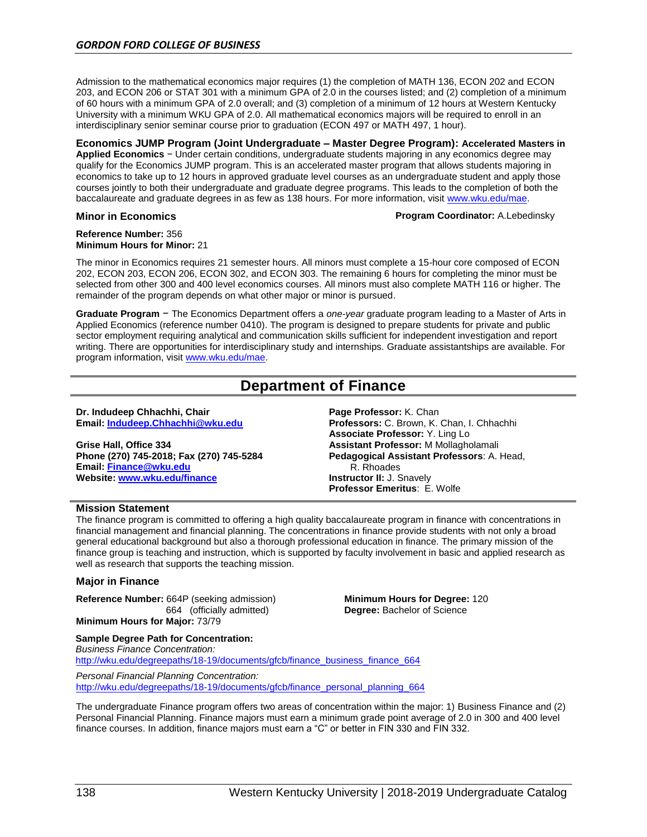Admission to the mathematical economics major requires (1) the completion of MATH 136, ECON 202 and ECON 203, and ECON 206 or STAT 301 with a minimum GPA of 2.0 in the courses listed; and (2) completion of a minimum of 60 hours with a minimum GPA of 2.0 overall; and (3) completion of a minimum of 12 hours at Western Kentucky University with a minimum WKU GPA of 2.0. All mathematical economics majors will be required to enroll in an interdisciplinary senior seminar course prior to graduation (ECON 497 or MATH 497, 1 hour).

**Economics JUMP Program (Joint Undergraduate – Master Degree Program): Accelerated Masters in Applied Economics** − Under certain conditions, undergraduate students majoring in any economics degree may qualify for the Economics JUMP program. This is an accelerated master program that allows students majoring in economics to take up to 12 hours in approved graduate level courses as an undergraduate student and apply those courses jointly to both their undergraduate and graduate degree programs. This leads to the completion of both the baccalaureate and graduate degrees in as few as 138 hours. For more information, visit [www.wku.edu/mae.](http://www.wku.edu/mae)

#### **Minor in Economics Program Coordinator:** A.Lebedinsky

#### **Reference Number:** 356 **Minimum Hours for Minor:** 21

The minor in Economics requires 21 semester hours. All minors must complete a 15-hour core composed of ECON 202, ECON 203, ECON 206, ECON 302, and ECON 303. The remaining 6 hours for completing the minor must be selected from other 300 and 400 level economics courses. All minors must also complete MATH 116 or higher. The remainder of the program depends on what other major or minor is pursued.

**Graduate Program** − The Economics Department offers a *one-year* graduate program leading to a Master of Arts in Applied Economics (reference number 0410). The program is designed to prepare students for private and public sector employment requiring analytical and communication skills sufficient for independent investigation and report writing. There are opportunities for interdisciplinary study and internships. Graduate assistantships are available. For program information, visi[t www.wku.edu/mae.](http://www.wku.edu/mae)

# **Department of Finance**

#### **Dr. Indudeep Chhachhi, Chair Email: [Indudeep.Chhachhi@wku.edu](mailto:Christopher.Brown@wku.edu)**

**Grise Hall, Office 334 Phone (270) 745-2018; Fax (270) 745-5284 Email[: Finance@wku.edu](mailto:Finance@wku.edu) Website: [www.wku.edu/finance](http://www.wku.edu/finance)**

**Page Professor:** K. Chan **Professors:** C. Brown, K. Chan, I. Chhachhi **Associate Professor:** Y. Ling Lo **Assistant Professor:** M Mollagholamali **Pedagogical Assistant Professors**: A. Head, R. Rhoades **Instructor II:** J. Snavely **Professor Emeritus**: E. Wolfe

#### **Mission Statement**

The finance program is committed to offering a high quality baccalaureate program in finance with concentrations in financial management and financial planning. The concentrations in finance provide students with not only a broad general educational background but also a thorough professional education in finance. The primary mission of the finance group is teaching and instruction, which is supported by faculty involvement in basic and applied research as well as research that supports the teaching mission.

#### **Major in Finance**

**Reference Number:** 664P (seeking admission) 664(officially admitted) **Minimum Hours for Major:** 73/79

**Sample Degree Path for Concentration:** 

**Minimum Hours for Degree:** 120 **Degree:** Bachelor of Science

*Business Finance Concentration:* [http://wku.edu/degreepaths/18-19/documents/gfcb/finance\\_business\\_finance\\_664](http://wku.edu/degreepaths/18-19/documents/gfcb/finance_business_finance_664) *Personal Financial Planning Concentration:* [http://wku.edu/degreepaths/18-19/documents/gfcb/finance\\_personal\\_planning\\_664](http://wku.edu/degreepaths/18-19/documents/gfcb/finance_personal_planning_664)

The undergraduate Finance program offers two areas of concentration within the major: 1) Business Finance and (2) Personal Financial Planning. Finance majors must earn a minimum grade point average of 2.0 in 300 and 400 level finance courses. In addition, finance majors must earn a "C" or better in FIN 330 and FIN 332.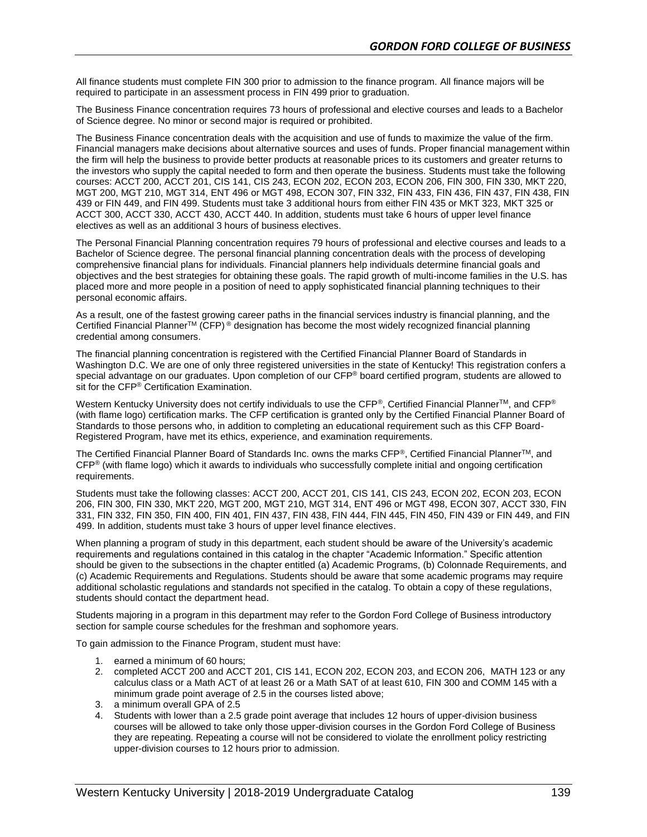All finance students must complete FIN 300 prior to admission to the finance program. All finance majors will be required to participate in an assessment process in FIN 499 prior to graduation.

The Business Finance concentration requires 73 hours of professional and elective courses and leads to a Bachelor of Science degree. No minor or second major is required or prohibited.

The Business Finance concentration deals with the acquisition and use of funds to maximize the value of the firm. Financial managers make decisions about alternative sources and uses of funds. Proper financial management within the firm will help the business to provide better products at reasonable prices to its customers and greater returns to the investors who supply the capital needed to form and then operate the business. Students must take the following courses: ACCT 200, ACCT 201, CIS 141, CIS 243, ECON 202, ECON 203, ECON 206, FIN 300, FIN 330, MKT 220, MGT 200, MGT 210, MGT 314, ENT 496 or MGT 498, ECON 307, FIN 332, FIN 433, FIN 436, FIN 437, FIN 438, FIN 439 or FIN 449, and FIN 499. Students must take 3 additional hours from either FIN 435 or MKT 323, MKT 325 or ACCT 300, ACCT 330, ACCT 430, ACCT 440. In addition, students must take 6 hours of upper level finance electives as well as an additional 3 hours of business electives.

The Personal Financial Planning concentration requires 79 hours of professional and elective courses and leads to a Bachelor of Science degree. The personal financial planning concentration deals with the process of developing comprehensive financial plans for individuals. Financial planners help individuals determine financial goals and objectives and the best strategies for obtaining these goals. The rapid growth of multi-income families in the U.S. has placed more and more people in a position of need to apply sophisticated financial planning techniques to their personal economic affairs.

As a result, one of the fastest growing career paths in the financial services industry is financial planning, and the Certified Financial Planner<sup>TM</sup> (CFP)<sup>®</sup> designation has become the most widely recognized financial planning credential among consumers.

The financial planning concentration is registered with the Certified Financial Planner Board of Standards in Washington D.C. We are one of only three registered universities in the state of Kentucky! This registration confers a special advantage on our graduates. Upon completion of our CFP® board certified program, students are allowed to sit for the CFP<sup>®</sup> Certification Examination.

Western Kentucky University does not certify individuals to use the CFP®, Certified Financial Planner<sup>TM</sup>, and CFP® (with flame logo) certification marks. The CFP certification is granted only by the Certified Financial Planner Board of Standards to those persons who, in addition to completing an educational requirement such as this CFP Board-Registered Program, have met its ethics, experience, and examination requirements.

The Certified Financial Planner Board of Standards Inc. owns the marks CFP®, Certified Financial PlannerTM, and CFP® (with flame logo) which it awards to individuals who successfully complete initial and ongoing certification requirements.

Students must take the following classes: ACCT 200, ACCT 201, CIS 141, CIS 243, ECON 202, ECON 203, ECON 206, FIN 300, FIN 330, MKT 220, MGT 200, MGT 210, MGT 314, ENT 496 or MGT 498, ECON 307, ACCT 330, FIN 331, FIN 332, FIN 350, FIN 400, FIN 401, FIN 437, FIN 438, FIN 444, FIN 445, FIN 450, FIN 439 or FIN 449, and FIN 499. In addition, students must take 3 hours of upper level finance electives.

When planning a program of study in this department, each student should be aware of the University's academic requirements and regulations contained in this catalog in the chapter "Academic Information." Specific attention should be given to the subsections in the chapter entitled (a) Academic Programs, (b) Colonnade Requirements, and (c) Academic Requirements and Regulations. Students should be aware that some academic programs may require additional scholastic regulations and standards not specified in the catalog. To obtain a copy of these regulations, students should contact the department head.

Students majoring in a program in this department may refer to the Gordon Ford College of Business introductory section for sample course schedules for the freshman and sophomore years.

To gain admission to the Finance Program, student must have:

- 1. earned a minimum of 60 hours;
- 2. completed ACCT 200 and ACCT 201, CIS 141, ECON 202, ECON 203, and ECON 206, MATH 123 or any calculus class or a Math ACT of at least 26 or a Math SAT of at least 610, FIN 300 and COMM 145 with a minimum grade point average of 2.5 in the courses listed above;
- 3. a minimum overall GPA of 2.5
- 4. Students with lower than a 2.5 grade point average that includes 12 hours of upper-division business courses will be allowed to take only those upper-division courses in the Gordon Ford College of Business they are repeating. Repeating a course will not be considered to violate the enrollment policy restricting upper-division courses to 12 hours prior to admission.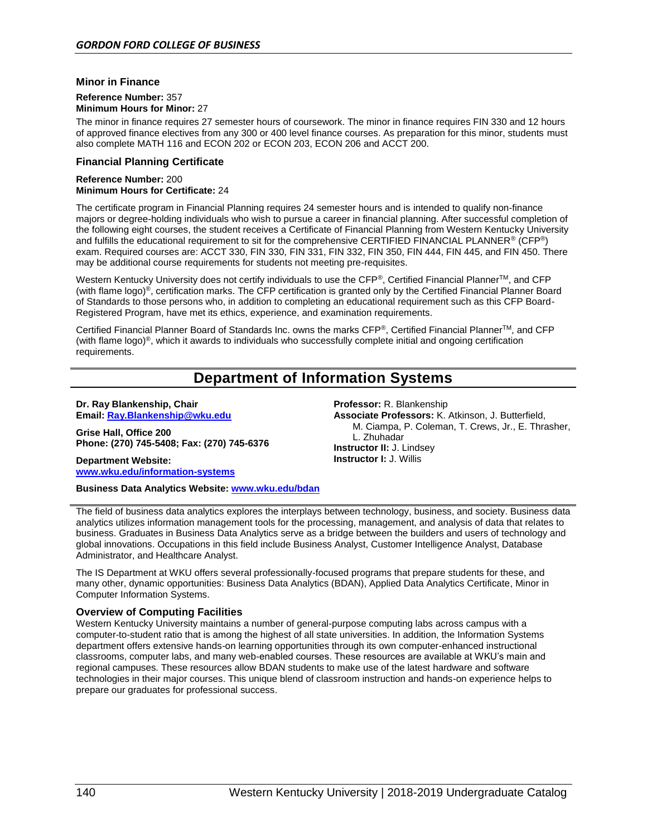#### **Minor in Finance**

#### **Reference Number:** 357 **Minimum Hours for Minor:** 27

The minor in finance requires 27 semester hours of coursework. The minor in finance requires FIN 330 and 12 hours of approved finance electives from any 300 or 400 level finance courses. As preparation for this minor, students must also complete MATH 116 and ECON 202 or ECON 203, ECON 206 and ACCT 200.

#### **Financial Planning Certificate**

#### **Reference Number:** 200 **Minimum Hours for Certificate:** 24

The certificate program in Financial Planning requires 24 semester hours and is intended to qualify non-finance majors or degree-holding individuals who wish to pursue a career in financial planning. After successful completion of the following eight courses, the student receives a Certificate of Financial Planning from Western Kentucky University and fulfills the educational requirement to sit for the comprehensive CERTIFIED FINANCIAL PLANNER® (CFP®) exam. Required courses are: ACCT 330, FIN 330, FIN 331, FIN 332, FIN 350, FIN 444, FIN 445, and FIN 450. There may be additional course requirements for students not meeting pre-requisites.

Western Kentucky University does not certify individuals to use the CFP®, Certified Financial Planner™, and CFP (with flame logo)®, certification marks. The CFP certification is granted only by the Certified Financial Planner Board of Standards to those persons who, in addition to completing an educational requirement such as this CFP Board-Registered Program, have met its ethics, experience, and examination requirements.

Certified Financial Planner Board of Standards Inc. owns the marks CFP®, Certified Financial PlannerTM, and CFP (with flame logo)®, which it awards to individuals who successfully complete initial and ongoing certification requirements.

# **Department of Information Systems**

#### **Dr. Ray Blankenship, Chair Email[: Ray.Blankenship@wku.edu](mailto:Ray.Blankenship@wku.edu)**

**Grise Hall, Office 200 Phone: (270) 745-5408; Fax: (270) 745-6376**

**Department Website: [www.wku.edu/information-systems](http://www.wku.edu/information-systems)**

**Business Data Analytics Website:<www.wku.edu/bdan>**

The field of business data analytics explores the interplays between technology, business, and society. Business data analytics utilizes information management tools for the processing, management, and analysis of data that relates to business. Graduates in Business Data Analytics serve as a bridge between the builders and users of technology and global innovations. Occupations in this field include Business Analyst, Customer Intelligence Analyst, Database Administrator, and Healthcare Analyst.

The IS Department at WKU offers several professionally-focused programs that prepare students for these, and many other, dynamic opportunities: Business Data Analytics (BDAN), Applied Data Analytics Certificate, Minor in Computer Information Systems.

#### **Overview of Computing Facilities**

Western Kentucky University maintains a number of general-purpose computing labs across campus with a computer-to-student ratio that is among the highest of all state universities. In addition, the Information Systems department offers extensive hands-on learning opportunities through its own computer-enhanced instructional classrooms, computer labs, and many web-enabled courses. These resources are available at WKU's main and regional campuses. These resources allow BDAN students to make use of the latest hardware and software technologies in their major courses. This unique blend of classroom instruction and hands-on experience helps to prepare our graduates for professional success.

**Professor:** R. Blankenship **Associate Professors:** K. Atkinson, J. Butterfield, M. Ciampa, P. Coleman, T. Crews, Jr., E. Thrasher, L. Zhuhadar **Instructor II:** J. Lindsey **Instructor I:** J. Willis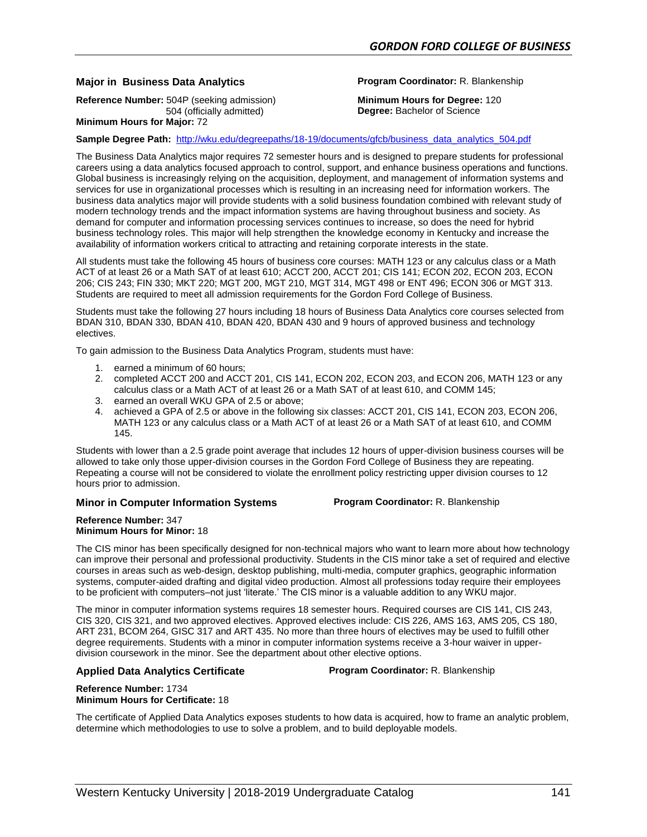### **Major in Business Data Analytics Program Coordinator:** R. Blankenship

**Reference Number:** 504P (seeking admission) 504 (officially admitted)

**Minimum Hours for Degree:** 120 **Degree:** Bachelor of Science

**Minimum Hours for Major:** 72

**Sample Degree Path:** [http://wku.edu/degreepaths/18-19/documents/gfcb/business\\_data\\_analytics\\_504.pdf](http://wku.edu/degreepaths/18-19/documents/gfcb/business_data_analytics_504.pdf)

The Business Data Analytics major requires 72 semester hours and is designed to prepare students for professional careers using a data analytics focused approach to control, support, and enhance business operations and functions. Global business is increasingly relying on the acquisition, deployment, and management of information systems and services for use in organizational processes which is resulting in an increasing need for information workers. The business data analytics major will provide students with a solid business foundation combined with relevant study of modern technology trends and the impact information systems are having throughout business and society. As demand for computer and information processing services continues to increase, so does the need for hybrid business technology roles. This major will help strengthen the knowledge economy in Kentucky and increase the availability of information workers critical to attracting and retaining corporate interests in the state.

All students must take the following 45 hours of business core courses: MATH 123 or any calculus class or a Math ACT of at least 26 or a Math SAT of at least 610; ACCT 200, ACCT 201; CIS 141; ECON 202, ECON 203, ECON 206; CIS 243; FIN 330; MKT 220; MGT 200, MGT 210, MGT 314, MGT 498 or ENT 496; ECON 306 or MGT 313. Students are required to meet all admission requirements for the Gordon Ford College of Business.

Students must take the following 27 hours including 18 hours of Business Data Analytics core courses selected from BDAN 310, BDAN 330, BDAN 410, BDAN 420, BDAN 430 and 9 hours of approved business and technology electives.

To gain admission to the Business Data Analytics Program, students must have:

- 1. earned a minimum of 60 hours;
- 2. completed ACCT 200 and ACCT 201, CIS 141, ECON 202, ECON 203, and ECON 206, MATH 123 or any calculus class or a Math ACT of at least 26 or a Math SAT of at least 610, and COMM 145;
- 3. earned an overall WKU GPA of 2.5 or above;
- 4. achieved a GPA of 2.5 or above in the following six classes: ACCT 201, CIS 141, ECON 203, ECON 206, MATH 123 or any calculus class or a Math ACT of at least 26 or a Math SAT of at least 610, and COMM 145.

Students with lower than a 2.5 grade point average that includes 12 hours of upper-division business courses will be allowed to take only those upper-division courses in the Gordon Ford College of Business they are repeating. Repeating a course will not be considered to violate the enrollment policy restricting upper division courses to 12 hours prior to admission.

#### **Minor in Computer Information Systems Program Coordinator:** R. Blankenship

#### **Reference Number:** 347 **Minimum Hours for Minor:** 18

The CIS minor has been specifically designed for non-technical majors who want to learn more about how technology can improve their personal and professional productivity. Students in the CIS minor take a set of required and elective courses in areas such as web-design, desktop publishing, multi-media, computer graphics, geographic information systems, computer-aided drafting and digital video production. Almost all professions today require their employees to be proficient with computers–not just 'literate.' The CIS minor is a valuable addition to any WKU major.

The minor in computer information systems requires 18 semester hours. Required courses are CIS 141, CIS 243, CIS 320, CIS 321, and two approved electives. Approved electives include: CIS 226, AMS 163, AMS 205, CS 180, ART 231, BCOM 264, GISC 317 and ART 435. No more than three hours of electives may be used to fulfill other degree requirements. Students with a minor in computer information systems receive a 3-hour waiver in upperdivision coursework in the minor. See the department about other elective options.

#### **Applied Data Analytics Certificate Program Coordinator:** R. Blankenship

**Reference Number:** 1734 **Minimum Hours for Certificate:** 18

The certificate of Applied Data Analytics exposes students to how data is acquired, how to frame an analytic problem, determine which methodologies to use to solve a problem, and to build deployable models.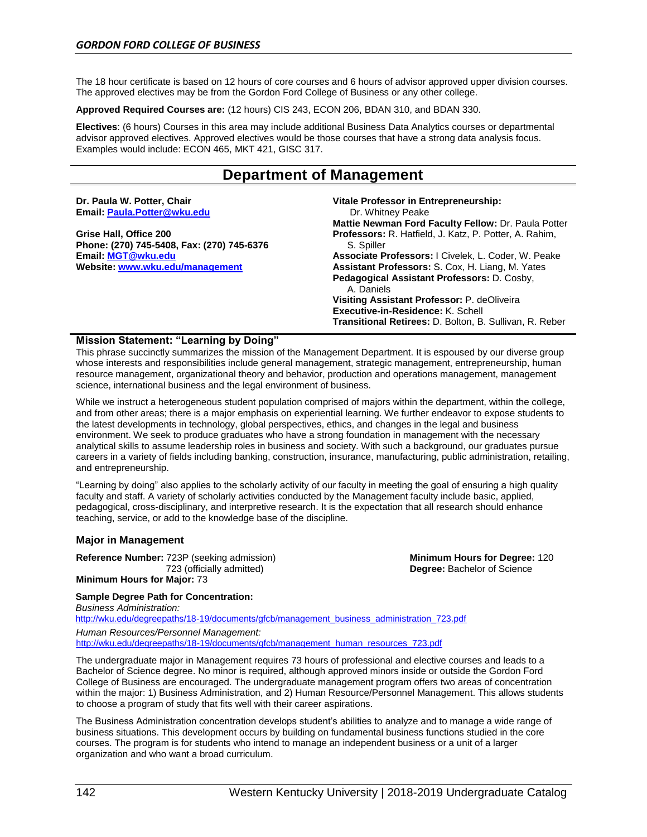The 18 hour certificate is based on 12 hours of core courses and 6 hours of advisor approved upper division courses. The approved electives may be from the Gordon Ford College of Business or any other college.

**Approved Required Courses are:** (12 hours) CIS 243, ECON 206, BDAN 310, and BDAN 330.

**Electives**: (6 hours) Courses in this area may include additional Business Data Analytics courses or departmental advisor approved electives. Approved electives would be those courses that have a strong data analysis focus. Examples would include: ECON 465, MKT 421, GISC 317.

# **Department of Management**

| Dr. Paula W. Potter, Chair<br>Email: Paula.Potter@wku.edu | Vitale Professor in Entrepreneurship:<br>Dr. Whitney Peake<br>Mattie Newman Ford Faculty Fellow: Dr. Paula Potter |
|-----------------------------------------------------------|-------------------------------------------------------------------------------------------------------------------|
| Grise Hall, Office 200                                    | <b>Professors:</b> R. Hatfield, J. Katz, P. Potter, A. Rahim,                                                     |
| Phone: (270) 745-5408, Fax: (270) 745-6376                | S. Spiller                                                                                                        |
| Email: MGT@wku.edu                                        | Associate Professors: I Civelek, L. Coder, W. Peake                                                               |
| Website: www.wku.edu/management                           | Assistant Professors: S. Cox, H. Liang, M. Yates                                                                  |
|                                                           | Pedagogical Assistant Professors: D. Cosby.                                                                       |
|                                                           | A. Daniels                                                                                                        |
|                                                           | Visiting Assistant Professor: P. deOliveira                                                                       |
|                                                           | Executive-in-Residence: K. Schell                                                                                 |
|                                                           | <b>Transitional Retirees: D. Bolton, B. Sullivan, R. Reber</b>                                                    |

#### **Mission Statement: "Learning by Doing"**

This phrase succinctly summarizes the mission of the Management Department. It is espoused by our diverse group whose interests and responsibilities include general management, strategic management, entrepreneurship, human resource management, organizational theory and behavior, production and operations management, management science, international business and the legal environment of business.

While we instruct a heterogeneous student population comprised of majors within the department, within the college, and from other areas; there is a major emphasis on experiential learning. We further endeavor to expose students to the latest developments in technology, global perspectives, ethics, and changes in the legal and business environment. We seek to produce graduates who have a strong foundation in management with the necessary analytical skills to assume leadership roles in business and society. With such a background, our graduates pursue careers in a variety of fields including banking, construction, insurance, manufacturing, public administration, retailing, and entrepreneurship.

"Learning by doing" also applies to the scholarly activity of our faculty in meeting the goal of ensuring a high quality faculty and staff. A variety of scholarly activities conducted by the Management faculty include basic, applied, pedagogical, cross-disciplinary, and interpretive research. It is the expectation that all research should enhance teaching, service, or add to the knowledge base of the discipline.

#### **Major in Management**

**Reference Number:** 723P (seeking admission) 723 (officially admitted)

**Minimum Hours for Degree:** 120 **Degree:** Bachelor of Science

#### **Minimum Hours for Major:** 73

## **Sample Degree Path for Concentration:**

*Business Administration:* [http://wku.edu/degreepaths/18-19/documents/gfcb/management\\_business\\_administration\\_723.pdf](http://wku.edu/degreepaths/18-19/documents/gfcb/management_business_administration_723.pdf) *Human Resources/Personnel Management:*

[http://wku.edu/degreepaths/18-19/documents/gfcb/management\\_human\\_resources\\_723.pdf](http://wku.edu/degreepaths/18-19/documents/gfcb/management_human_resources_723.pdf)

The undergraduate major in Management requires 73 hours of professional and elective courses and leads to a Bachelor of Science degree. No minor is required, although approved minors inside or outside the Gordon Ford College of Business are encouraged. The undergraduate management program offers two areas of concentration within the major: 1) Business Administration, and 2) Human Resource/Personnel Management. This allows students to choose a program of study that fits well with their career aspirations.

The Business Administration concentration develops student's abilities to analyze and to manage a wide range of business situations. This development occurs by building on fundamental business functions studied in the core courses. The program is for students who intend to manage an independent business or a unit of a larger organization and who want a broad curriculum.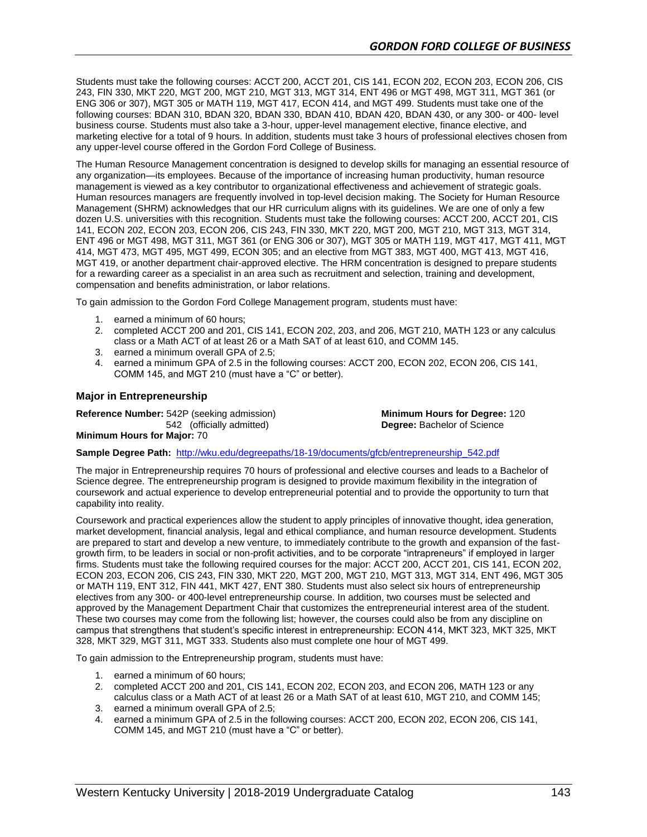Students must take the following courses: ACCT 200, ACCT 201, CIS 141, ECON 202, ECON 203, ECON 206, CIS 243, FIN 330, MKT 220, MGT 200, MGT 210, MGT 313, MGT 314, ENT 496 or MGT 498, MGT 311, MGT 361 (or ENG 306 or 307), MGT 305 or MATH 119, MGT 417, ECON 414, and MGT 499. Students must take one of the following courses: BDAN 310, BDAN 320, BDAN 330, BDAN 410, BDAN 420, BDAN 430, or any 300- or 400- level business course. Students must also take a 3-hour, upper-level management elective, finance elective, and marketing elective for a total of 9 hours. In addition, students must take 3 hours of professional electives chosen from any upper-level course offered in the Gordon Ford College of Business.

The Human Resource Management concentration is designed to develop skills for managing an essential resource of any organization—its employees. Because of the importance of increasing human productivity, human resource management is viewed as a key contributor to organizational effectiveness and achievement of strategic goals. Human resources managers are frequently involved in top-level decision making. The Society for Human Resource Management (SHRM) acknowledges that our HR curriculum aligns with its guidelines. We are one of only a few dozen U.S. universities with this recognition. Students must take the following courses: ACCT 200, ACCT 201, CIS 141, ECON 202, ECON 203, ECON 206, CIS 243, FIN 330, MKT 220, MGT 200, MGT 210, MGT 313, MGT 314, ENT 496 or MGT 498, MGT 311, MGT 361 (or ENG 306 or 307), MGT 305 or MATH 119, MGT 417, MGT 411, MGT 414, MGT 473, MGT 495, MGT 499, ECON 305; and an elective from MGT 383, MGT 400, MGT 413, MGT 416, MGT 419, or another department chair-approved elective. The HRM concentration is designed to prepare students for a rewarding career as a specialist in an area such as recruitment and selection, training and development, compensation and benefits administration, or labor relations.

To gain admission to the Gordon Ford College Management program, students must have:

- 1. earned a minimum of 60 hours;
- 2. completed ACCT 200 and 201, CIS 141, ECON 202, 203, and 206, MGT 210, MATH 123 or any calculus class or a Math ACT of at least 26 or a Math SAT of at least 610, and COMM 145.
- 3. earned a minimum overall GPA of 2.5;
- 4. earned a minimum GPA of 2.5 in the following courses: ACCT 200, ECON 202, ECON 206, CIS 141, COMM 145, and MGT 210 (must have a "C" or better).

#### **Major in Entrepreneurship**

**Reference Number:** 542P (seeking admission) 542 (officially admitted)

**Minimum Hours for Degree:** 120 **Degree:** Bachelor of Science

**Minimum Hours for Major:** 70

**Sample Degree Path:** [http://wku.edu/degreepaths/18-19/documents/gfcb/entrepreneurship\\_542.pdf](http://wku.edu/degreepaths/18-19/documents/gfcb/entrepreneurship_542.pdf)

The major in Entrepreneurship requires 70 hours of professional and elective courses and leads to a Bachelor of Science degree. The entrepreneurship program is designed to provide maximum flexibility in the integration of coursework and actual experience to develop entrepreneurial potential and to provide the opportunity to turn that capability into reality.

Coursework and practical experiences allow the student to apply principles of innovative thought, idea generation, market development, financial analysis, legal and ethical compliance, and human resource development. Students are prepared to start and develop a new venture, to immediately contribute to the growth and expansion of the fastgrowth firm, to be leaders in social or non-profit activities, and to be corporate "intrapreneurs" if employed in larger firms. Students must take the following required courses for the major: ACCT 200, ACCT 201, CIS 141, ECON 202, ECON 203, ECON 206, CIS 243, FIN 330, MKT 220, MGT 200, MGT 210, MGT 313, MGT 314, ENT 496, MGT 305 or MATH 119, ENT 312, FIN 441, MKT 427, ENT 380. Students must also select six hours of entrepreneurship electives from any 300- or 400-level entrepreneurship course. In addition, two courses must be selected and approved by the Management Department Chair that customizes the entrepreneurial interest area of the student. These two courses may come from the following list; however, the courses could also be from any discipline on campus that strengthens that student's specific interest in entrepreneurship: ECON 414, MKT 323, MKT 325, MKT 328, MKT 329, MGT 311, MGT 333. Students also must complete one hour of MGT 499.

To gain admission to the Entrepreneurship program, students must have:

- 1. earned a minimum of 60 hours;
- 2. completed ACCT 200 and 201, CIS 141, ECON 202, ECON 203, and ECON 206, MATH 123 or any calculus class or a Math ACT of at least 26 or a Math SAT of at least 610, MGT 210, and COMM 145;
- 3. earned a minimum overall GPA of 2.5;
- 4. earned a minimum GPA of 2.5 in the following courses: ACCT 200, ECON 202, ECON 206, CIS 141, COMM 145, and MGT 210 (must have a "C" or better).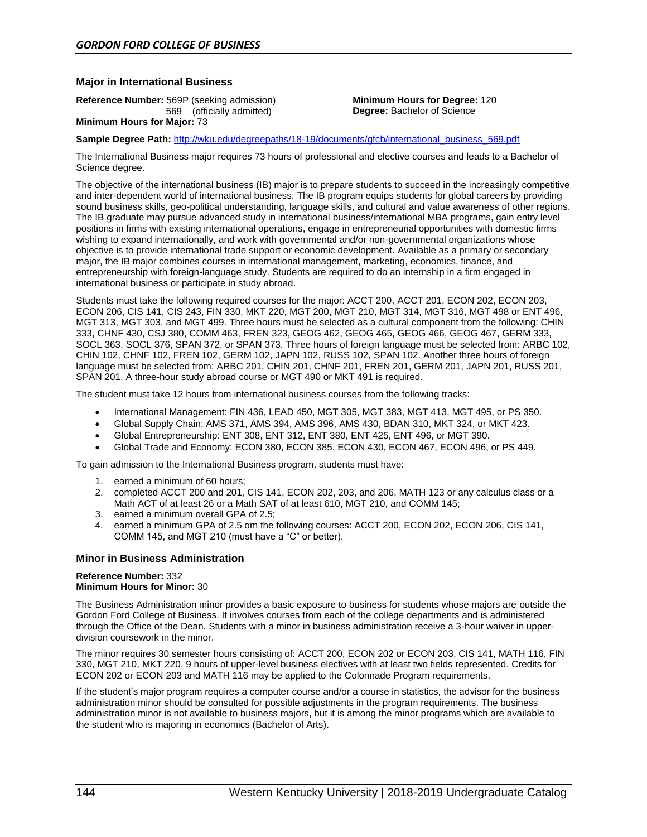#### **Major in International Business**

**Reference Number:** 569P (seeking admission) 569 (officially admitted)

**Minimum Hours for Degree:** 120 **Degree:** Bachelor of Science

**Minimum Hours for Major:** 73

**Sample Degree Path:** [http://wku.edu/degreepaths/18-19/documents/gfcb/international\\_business\\_569.pdf](http://wku.edu/degreepaths/18-19/documents/gfcb/international_business_569.pdf)

The International Business major requires 73 hours of professional and elective courses and leads to a Bachelor of Science degree.

The objective of the international business (IB) major is to prepare students to succeed in the increasingly competitive and inter-dependent world of international business. The IB program equips students for global careers by providing sound business skills, geo-political understanding, language skills, and cultural and value awareness of other regions. The IB graduate may pursue advanced study in international business/international MBA programs, gain entry level positions in firms with existing international operations, engage in entrepreneurial opportunities with domestic firms wishing to expand internationally, and work with governmental and/or non-governmental organizations whose objective is to provide international trade support or economic development. Available as a primary or secondary major, the IB major combines courses in international management, marketing, economics, finance, and entrepreneurship with foreign-language study. Students are required to do an internship in a firm engaged in international business or participate in study abroad.

Students must take the following required courses for the major: ACCT 200, ACCT 201, ECON 202, ECON 203, ECON 206, CIS 141, CIS 243, FIN 330, MKT 220, MGT 200, MGT 210, MGT 314, MGT 316, MGT 498 or ENT 496, MGT 313, MGT 303, and MGT 499. Three hours must be selected as a cultural component from the following: CHIN 333, CHNF 430, CSJ 380, COMM 463, FREN 323, GEOG 462, GEOG 465, GEOG 466, GEOG 467, GERM 333, SOCL 363, SOCL 376, SPAN 372, or SPAN 373. Three hours of foreign language must be selected from: ARBC 102, CHIN 102, CHNF 102, FREN 102, GERM 102, JAPN 102, RUSS 102, SPAN 102. Another three hours of foreign language must be selected from: ARBC 201, CHIN 201, CHNF 201, FREN 201, GERM 201, JAPN 201, RUSS 201, SPAN 201. A three-hour study abroad course or MGT 490 or MKT 491 is required.

The student must take 12 hours from international business courses from the following tracks:

- International Management: FIN 436, LEAD 450, MGT 305, MGT 383, MGT 413, MGT 495, or PS 350.
- Global Supply Chain: AMS 371, AMS 394, AMS 396, AMS 430, BDAN 310, MKT 324, or MKT 423.
- Global Entrepreneurship: ENT 308, ENT 312, ENT 380, ENT 425, ENT 496, or MGT 390.
- Global Trade and Economy: ECON 380, ECON 385, ECON 430, ECON 467, ECON 496, or PS 449.

To gain admission to the International Business program, students must have:

- 1. earned a minimum of 60 hours;
- 2. completed ACCT 200 and 201, CIS 141, ECON 202, 203, and 206, MATH 123 or any calculus class or a Math ACT of at least 26 or a Math SAT of at least 610, MGT 210, and COMM 145;
- 3. earned a minimum overall GPA of 2.5;
- 4. earned a minimum GPA of 2.5 om the following courses: ACCT 200, ECON 202, ECON 206, CIS 141, COMM 145, and MGT 210 (must have a "C" or better).

#### **Minor in Business Administration**

#### **Reference Number:** 332 **Minimum Hours for Minor:** 30

The Business Administration minor provides a basic exposure to business for students whose majors are outside the Gordon Ford College of Business. It involves courses from each of the college departments and is administered through the Office of the Dean. Students with a minor in business administration receive a 3-hour waiver in upperdivision coursework in the minor.

The minor requires 30 semester hours consisting of: ACCT 200, ECON 202 or ECON 203, CIS 141, MATH 116, FIN 330, MGT 210, MKT 220, 9 hours of upper-level business electives with at least two fields represented. Credits for ECON 202 or ECON 203 and MATH 116 may be applied to the Colonnade Program requirements.

If the student's major program requires a computer course and/or a course in statistics, the advisor for the business administration minor should be consulted for possible adjustments in the program requirements. The business administration minor is not available to business majors, but it is among the minor programs which are available to the student who is majoring in economics (Bachelor of Arts).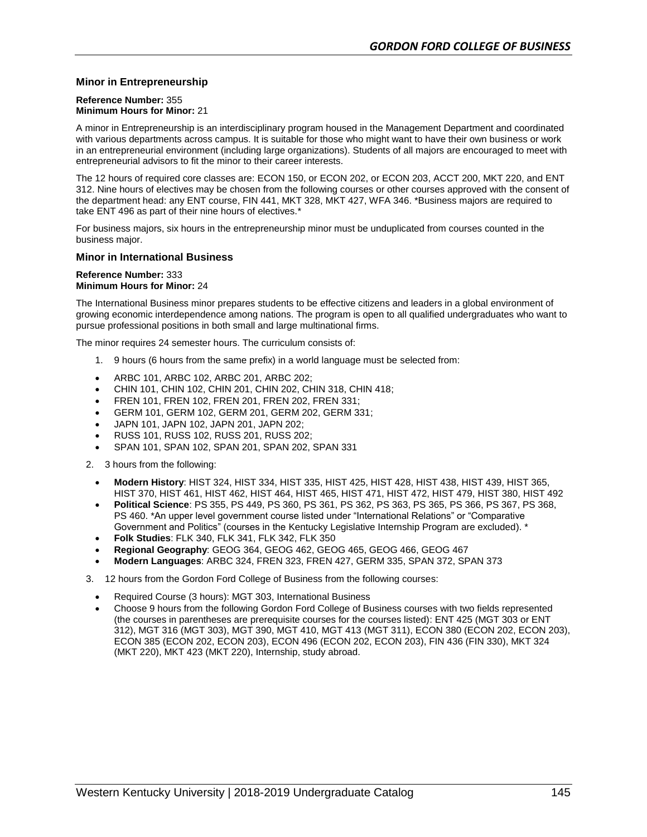### **Minor in Entrepreneurship**

#### **Reference Number:** 355 **Minimum Hours for Minor:** 21

A minor in Entrepreneurship is an interdisciplinary program housed in the Management Department and coordinated with various departments across campus. It is suitable for those who might want to have their own business or work in an entrepreneurial environment (including large organizations). Students of all majors are encouraged to meet with entrepreneurial advisors to fit the minor to their career interests.

The 12 hours of required core classes are: ECON 150, or ECON 202, or ECON 203, ACCT 200, MKT 220, and ENT 312. Nine hours of electives may be chosen from the following courses or other courses approved with the consent of the department head: any ENT course, FIN 441, MKT 328, MKT 427, WFA 346. \*Business majors are required to take ENT 496 as part of their nine hours of electives.\*

For business majors, six hours in the entrepreneurship minor must be unduplicated from courses counted in the business major.

#### **Minor in International Business**

#### **Reference Number:** 333 **Minimum Hours for Minor:** 24

The International Business minor prepares students to be effective citizens and leaders in a global environment of growing economic interdependence among nations. The program is open to all qualified undergraduates who want to pursue professional positions in both small and large multinational firms.

The minor requires 24 semester hours. The curriculum consists of:

- 1. 9 hours (6 hours from the same prefix) in a world language must be selected from:
- ARBC 101, ARBC 102, ARBC 201, ARBC 202;
- CHIN 101, CHIN 102, CHIN 201, CHIN 202, CHIN 318, CHIN 418;
- FREN 101, FREN 102, FREN 201, FREN 202, FREN 331;
- GERM 101, GERM 102, GERM 201, GERM 202, GERM 331;
- JAPN 101, JAPN 102, JAPN 201, JAPN 202;
- RUSS 101, RUSS 102, RUSS 201, RUSS 202;
- SPAN 101, SPAN 102, SPAN 201, SPAN 202, SPAN 331
- 2. 3 hours from the following:
	- **Modern History**: HIST 324, HIST 334, HIST 335, HIST 425, HIST 428, HIST 438, HIST 439, HIST 365, HIST 370, HIST 461, HIST 462, HIST 464, HIST 465, HIST 471, HIST 472, HIST 479, HIST 380, HIST 492
	- **Political Science**: PS 355, PS 449, PS 360, PS 361, PS 362, PS 363, PS 365, PS 366, PS 367, PS 368, PS 460. \*An upper level government course listed under "International Relations" or "Comparative Government and Politics" (courses in the Kentucky Legislative Internship Program are excluded). \*
	- **Folk Studies**: FLK 340, FLK 341, FLK 342, FLK 350
	- **Regional Geography**: GEOG 364, GEOG 462, GEOG 465, GEOG 466, GEOG 467
	- **Modern Languages**: ARBC 324, FREN 323, FREN 427, GERM 335, SPAN 372, SPAN 373
- 3. 12 hours from the Gordon Ford College of Business from the following courses:
	- Required Course (3 hours): MGT 303, International Business
	- Choose 9 hours from the following Gordon Ford College of Business courses with two fields represented (the courses in parentheses are prerequisite courses for the courses listed): ENT 425 (MGT 303 or ENT 312), MGT 316 (MGT 303), MGT 390, MGT 410, MGT 413 (MGT 311), ECON 380 (ECON 202, ECON 203), ECON 385 (ECON 202, ECON 203), ECON 496 (ECON 202, ECON 203), FIN 436 (FIN 330), MKT 324 (MKT 220), MKT 423 (MKT 220), Internship, study abroad.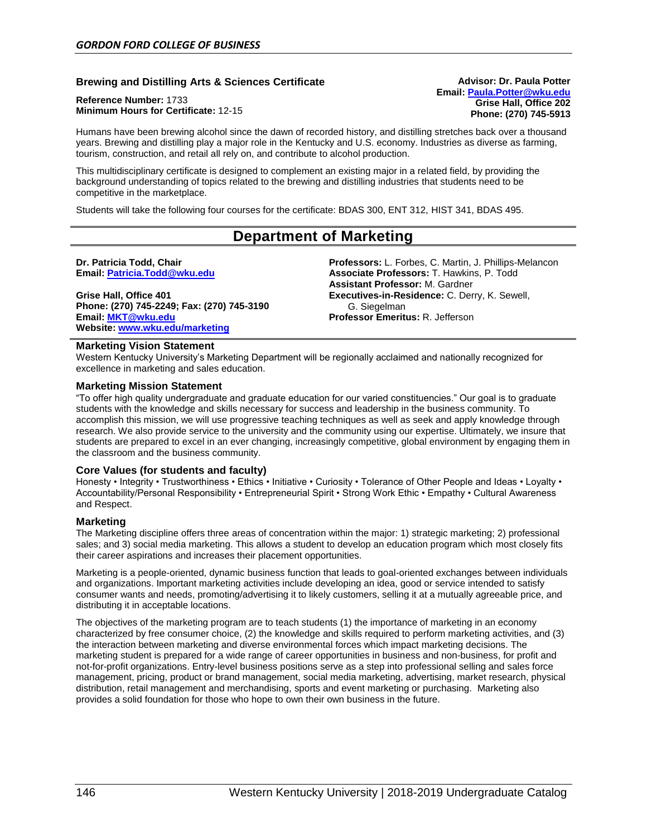### **Brewing and Distilling Arts & Sciences Certificate**

**Reference Number:** 1733 **Minimum Hours for Certificate:** 12-15

Humans have been brewing alcohol since the dawn of recorded history, and distilling stretches back over a thousand years. Brewing and distilling play a major role in the Kentucky and U.S. economy. Industries as diverse as farming, tourism, construction, and retail all rely on, and contribute to alcohol production.

This multidisciplinary certificate is designed to complement an existing major in a related field, by providing the background understanding of topics related to the brewing and distilling industries that students need to be competitive in the marketplace.

Students will take the following four courses for the certificate: BDAS 300, ENT 312, HIST 341, BDAS 495.

# **Department of Marketing**

**Dr. Patricia Todd, Chair Email[: Patricia.Todd@wku.edu](mailto:Patricia.Todd@wku.edu)**

**Grise Hall, Office 401 Phone: (270) 745-2249; Fax: (270) 745-3190 Email: [MKT@wku.edu](mailto:MKT@wku.edu) Website: [www.wku.edu/marketing](http://www.wku.edu/gfcb/marketing)**

**Professors:** L. Forbes, C. Martin, J. Phillips-Melancon **Associate Professors:** T. Hawkins, P. Todd **Assistant Professor:** M. Gardner **Executives-in-Residence:** C. Derry, K. Sewell, G. Siegelman **Professor Emeritus:** R. Jefferson

**Advisor: Dr. Paula Potter Email: [Paula.Potter@wku.edu](mailto:Paula.Potter@wku.edu)**

> **Grise Hall, Office 202 Phone: (270) 745-5913**

#### **Marketing Vision Statement**

Western Kentucky University's Marketing Department will be regionally acclaimed and nationally recognized for excellence in marketing and sales education.

#### **Marketing Mission Statement**

"To offer high quality undergraduate and graduate education for our varied constituencies." Our goal is to graduate students with the knowledge and skills necessary for success and leadership in the business community. To accomplish this mission, we will use progressive teaching techniques as well as seek and apply knowledge through research. We also provide service to the university and the community using our expertise. Ultimately, we insure that students are prepared to excel in an ever changing, increasingly competitive, global environment by engaging them in the classroom and the business community.

#### **Core Values (for students and faculty)**

Honesty • Integrity • Trustworthiness • Ethics • Initiative • Curiosity • Tolerance of Other People and Ideas • Loyalty • Accountability/Personal Responsibility • Entrepreneurial Spirit • Strong Work Ethic • Empathy • Cultural Awareness and Respect.

#### **Marketing**

The Marketing discipline offers three areas of concentration within the major: 1) strategic marketing; 2) professional sales; and 3) social media marketing. This allows a student to develop an education program which most closely fits their career aspirations and increases their placement opportunities.

Marketing is a people-oriented, dynamic business function that leads to goal-oriented exchanges between individuals and organizations. Important marketing activities include developing an idea, good or service intended to satisfy consumer wants and needs, promoting/advertising it to likely customers, selling it at a mutually agreeable price, and distributing it in acceptable locations.

The objectives of the marketing program are to teach students (1) the importance of marketing in an economy characterized by free consumer choice, (2) the knowledge and skills required to perform marketing activities, and (3) the interaction between marketing and diverse environmental forces which impact marketing decisions. The marketing student is prepared for a wide range of career opportunities in business and non-business, for profit and not-for-profit organizations. Entry-level business positions serve as a step into professional selling and sales force management, pricing, product or brand management, social media marketing, advertising, market research, physical distribution, retail management and merchandising, sports and event marketing or purchasing. Marketing also provides a solid foundation for those who hope to own their own business in the future.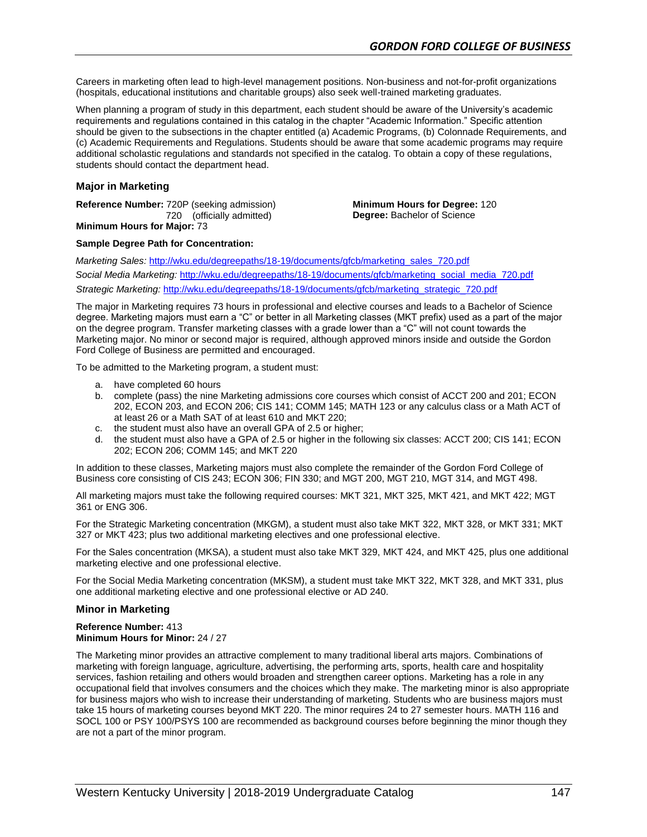Careers in marketing often lead to high-level management positions. Non-business and not-for-profit organizations (hospitals, educational institutions and charitable groups) also seek well-trained marketing graduates.

When planning a program of study in this department, each student should be aware of the University's academic requirements and regulations contained in this catalog in the chapter "Academic Information." Specific attention should be given to the subsections in the chapter entitled (a) Academic Programs, (b) Colonnade Requirements, and (c) Academic Requirements and Regulations. Students should be aware that some academic programs may require additional scholastic regulations and standards not specified in the catalog. To obtain a copy of these regulations, students should contact the department head.

### **Major in Marketing**

**Reference Number:** 720P (seeking admission) 720 (officially admitted)

**Minimum Hours for Degree:** 120 **Degree:** Bachelor of Science

**Minimum Hours for Major:** 73

#### **Sample Degree Path for Concentration:**

*Marketing Sales:* [http://wku.edu/degreepaths/18-19/documents/gfcb/marketing\\_sales\\_720.pdf](http://wku.edu/degreepaths/18-19/documents/gfcb/marketing_sales_720.pdf) *Social Media Marketing:* [http://wku.edu/degreepaths/18-19/documents/gfcb/marketing\\_social\\_media\\_720.pdf](http://wku.edu/degreepaths/18-19/documents/gfcb/marketing_social_media_720.pdf) *Strategic Marketing:* [http://wku.edu/degreepaths/18-19/documents/gfcb/marketing\\_strategic\\_720.pdf](http://wku.edu/degreepaths/18-19/documents/gfcb/marketing_strategic_720.pdf)

The major in Marketing requires 73 hours in professional and elective courses and leads to a Bachelor of Science degree. Marketing majors must earn a "C" or better in all Marketing classes (MKT prefix) used as a part of the major on the degree program. Transfer marketing classes with a grade lower than a "C" will not count towards the Marketing major. No minor or second major is required, although approved minors inside and outside the Gordon Ford College of Business are permitted and encouraged.

To be admitted to the Marketing program, a student must:

- a. have completed 60 hours
- b. complete (pass) the nine Marketing admissions core courses which consist of ACCT 200 and 201; ECON 202, ECON 203, and ECON 206; CIS 141; COMM 145; MATH 123 or any calculus class or a Math ACT of at least 26 or a Math SAT of at least 610 and MKT 220;
- c. the student must also have an overall GPA of 2.5 or higher;
- d. the student must also have a GPA of 2.5 or higher in the following six classes: ACCT 200; CIS 141; ECON 202; ECON 206; COMM 145; and MKT 220

In addition to these classes, Marketing majors must also complete the remainder of the Gordon Ford College of Business core consisting of CIS 243; ECON 306; FIN 330; and MGT 200, MGT 210, MGT 314, and MGT 498.

All marketing majors must take the following required courses: MKT 321, MKT 325, MKT 421, and MKT 422; MGT 361 or ENG 306.

For the Strategic Marketing concentration (MKGM), a student must also take MKT 322, MKT 328, or MKT 331; MKT 327 or MKT 423; plus two additional marketing electives and one professional elective.

For the Sales concentration (MKSA), a student must also take MKT 329, MKT 424, and MKT 425, plus one additional marketing elective and one professional elective.

For the Social Media Marketing concentration (MKSM), a student must take MKT 322, MKT 328, and MKT 331, plus one additional marketing elective and one professional elective or AD 240.

#### **Minor in Marketing**

**Reference Number:** 413 **Minimum Hours for Minor:** 24 / 27

The Marketing minor provides an attractive complement to many traditional liberal arts majors. Combinations of marketing with foreign language, agriculture, advertising, the performing arts, sports, health care and hospitality services, fashion retailing and others would broaden and strengthen career options. Marketing has a role in any occupational field that involves consumers and the choices which they make. The marketing minor is also appropriate for business majors who wish to increase their understanding of marketing. Students who are business majors must take 15 hours of marketing courses beyond MKT 220. The minor requires 24 to 27 semester hours. MATH 116 and SOCL 100 or PSY 100/PSYS 100 are recommended as background courses before beginning the minor though they are not a part of the minor program.